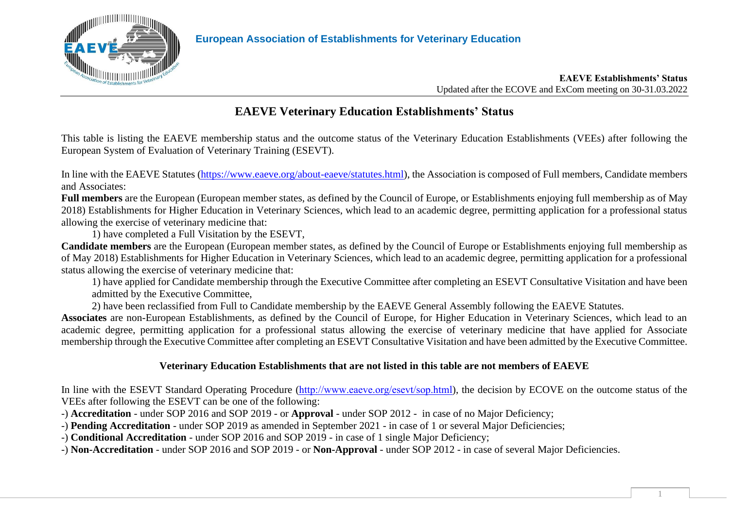

#### **EAEVE Establishments' Status** Updated after the ECOVE and ExCom meeting on 30-31.03.2022

## **EAEVE Veterinary Education Establishments' Status**

This table is listing the EAEVE membership status and the outcome status of the Veterinary Education Establishments (VEEs) after following the European System of Evaluation of Veterinary Training (ESEVT).

In line with the EAEVE Statutes [\(https://www.eaeve.org/about-eaeve/statutes.html\)](https://www.eaeve.org/about-eaeve/statutes.html), the Association is composed of Full members, Candidate members and Associates:

**Full members** are the European (European member states, as defined by the Council of Europe, or Establishments enjoying full membership as of May 2018) Establishments for Higher Education in Veterinary Sciences, which lead to an academic degree, permitting application for a professional status allowing the exercise of veterinary medicine that:

1) have completed a Full Visitation by the ESEVT,

**Candidate members** are the European (European member states, as defined by the Council of Europe or Establishments enjoying full membership as of May 2018) Establishments for Higher Education in Veterinary Sciences, which lead to an academic degree, permitting application for a professional status allowing the exercise of veterinary medicine that:

1) have applied for Candidate membership through the Executive Committee after completing an ESEVT Consultative Visitation and have been admitted by the Executive Committee,

2) have been reclassified from Full to Candidate membership by the EAEVE General Assembly following the EAEVE Statutes.

**Associates** are non-European Establishments, as defined by the Council of Europe, for Higher Education in Veterinary Sciences, which lead to an academic degree, permitting application for a professional status allowing the exercise of veterinary medicine that have applied for Associate membership through the Executive Committee after completing an ESEVT Consultative Visitation and have been admitted by the Executive Committee.

### **Veterinary Education Establishments that are not listed in this table are not members of EAEVE**

In line with the ESEVT Standard Operating Procedure (<http://www.eaeve.org/esevt/sop.html>), the decision by ECOVE on the outcome status of the VEEs after following the ESEVT can be one of the following:

-) **Accreditation** - under SOP 2016 and SOP 2019 - or **Approval** - under SOP 2012 - in case of no Major Deficiency;

-) **Pending Accreditation** - under SOP 2019 as amended in September 2021 - in case of 1 or several Major Deficiencies;

-) **Conditional Accreditation** - under SOP 2016 and SOP 2019 - in case of 1 single Major Deficiency;

-) **Non-Accreditation** - under SOP 2016 and SOP 2019 - or **Non-Approval** - under SOP 2012 - in case of several Major Deficiencies.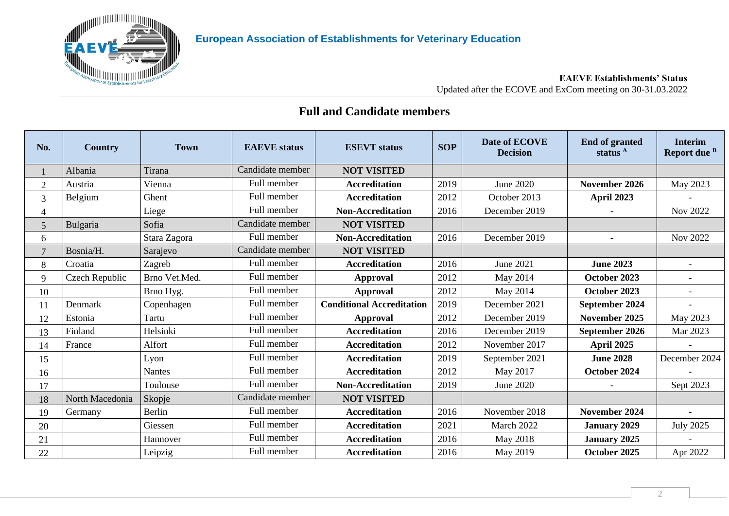

#### **EAEVE Establishments' Status** Updated after the ECOVE and ExCom meeting on 30-31.03.2022

### **Full and Candidate members**

| No.            | Country         | <b>Town</b>   | <b>EAEVE</b> status | <b>ESEVT</b> status              | <b>SOP</b> | Date of ECOVE<br><b>Decision</b> | <b>End of granted</b><br>status <sup>A</sup> | <b>Interim</b><br>Report due <sup>B</sup> |
|----------------|-----------------|---------------|---------------------|----------------------------------|------------|----------------------------------|----------------------------------------------|-------------------------------------------|
|                | Albania         | Tirana        | Candidate member    | <b>NOT VISITED</b>               |            |                                  |                                              |                                           |
| $\overline{2}$ | Austria         | Vienna        | Full member         | <b>Accreditation</b>             | 2019       | June 2020                        | November 2026                                | May 2023                                  |
| 3              | Belgium         | Ghent         | Full member         | <b>Accreditation</b>             | 2012       | October 2013                     | April 2023                                   |                                           |
| 4              |                 | Liege         | Full member         | <b>Non-Accreditation</b>         | 2016       | December 2019                    |                                              | Nov 2022                                  |
| 5              | Bulgaria        | Sofia         | Candidate member    | <b>NOT VISITED</b>               |            |                                  |                                              |                                           |
| 6              |                 | Stara Zagora  | Full member         | <b>Non-Accreditation</b>         | 2016       | December 2019                    | $\overline{\phantom{a}}$                     | Nov 2022                                  |
| $\overline{7}$ | Bosnia/H.       | Sarajevo      | Candidate member    | <b>NOT VISITED</b>               |            |                                  |                                              |                                           |
| 8              | Croatia         | Zagreb        | Full member         | <b>Accreditation</b>             | 2016       | June 2021                        | <b>June 2023</b>                             | $\overline{a}$                            |
| 9              | Czech Republic  | Brno Vet.Med. | Full member         | <b>Approval</b>                  | 2012       | May 2014                         | October 2023                                 |                                           |
| 10             |                 | Brno Hyg.     | Full member         | <b>Approval</b>                  | 2012       | May 2014                         | October 2023                                 |                                           |
| 11             | Denmark         | Copenhagen    | Full member         | <b>Conditional Accreditation</b> | 2019       | December 2021                    | September 2024                               |                                           |
| 12             | Estonia         | Tartu         | Full member         | <b>Approval</b>                  | 2012       | December 2019                    | November 2025                                | May 2023                                  |
| 13             | Finland         | Helsinki      | Full member         | <b>Accreditation</b>             | 2016       | December 2019                    | September 2026                               | Mar 2023                                  |
| 14             | France          | Alfort        | Full member         | <b>Accreditation</b>             | 2012       | November 2017                    | <b>April 2025</b>                            |                                           |
| 15             |                 | Lyon          | Full member         | <b>Accreditation</b>             | 2019       | September 2021                   | <b>June 2028</b>                             | December 2024                             |
| 16             |                 | <b>Nantes</b> | Full member         | <b>Accreditation</b>             | 2012       | May 2017                         | October 2024                                 |                                           |
| 17             |                 | Toulouse      | Full member         | <b>Non-Accreditation</b>         | 2019       | <b>June 2020</b>                 |                                              | Sept 2023                                 |
| 18             | North Macedonia | Skopje        | Candidate member    | <b>NOT VISITED</b>               |            |                                  |                                              |                                           |
| 19             | Germany         | Berlin        | Full member         | <b>Accreditation</b>             | 2016       | November 2018                    | November 2024                                |                                           |
| 20             |                 | Giessen       | Full member         | <b>Accreditation</b>             | 2021       | March 2022                       | <b>January 2029</b>                          | <b>July 2025</b>                          |
| 21             |                 | Hannover      | Full member         | <b>Accreditation</b>             | 2016       | May 2018                         | <b>January 2025</b>                          |                                           |
| 22             |                 | Leipzig       | Full member         | <b>Accreditation</b>             | 2016       | May 2019                         | October 2025                                 | Apr 2022                                  |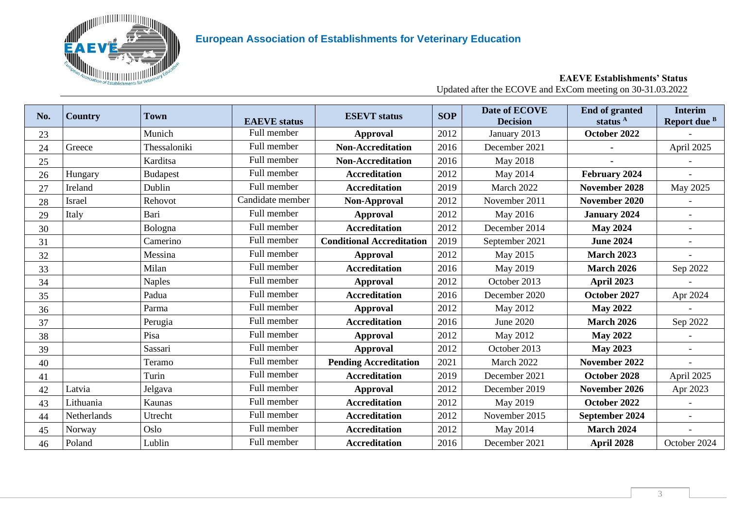

#### **EAEVE Establishments' Status** Updated after the ECOVE and ExCom meeting on 30-31.03.2022

| No. | <b>Country</b> | Town            | <b>EAEVE</b> status | <b>ESEVT</b> status              | <b>SOP</b> | Date of ECOVE<br><b>Decision</b> | <b>End of granted</b><br>status <sup>A</sup> | <b>Interim</b><br>Report due B |
|-----|----------------|-----------------|---------------------|----------------------------------|------------|----------------------------------|----------------------------------------------|--------------------------------|
| 23  |                | Munich          | Full member         | <b>Approval</b>                  | 2012       | January 2013                     | October 2022                                 |                                |
| 24  | Greece         | Thessaloniki    | Full member         | <b>Non-Accreditation</b>         | 2016       | December 2021                    |                                              | April 2025                     |
| 25  |                | Karditsa        | Full member         | <b>Non-Accreditation</b>         | 2016       | May 2018                         |                                              |                                |
| 26  | Hungary        | <b>Budapest</b> | Full member         | <b>Accreditation</b>             | 2012       | May 2014                         | February 2024                                |                                |
| 27  | Ireland        | Dublin          | Full member         | <b>Accreditation</b>             | 2019       | March 2022                       | November 2028                                | May 2025                       |
| 28  | Israel         | Rehovot         | Candidate member    | Non-Approval                     | 2012       | November 2011                    | November 2020                                |                                |
| 29  | Italy          | Bari            | Full member         | <b>Approval</b>                  | 2012       | May 2016                         | <b>January 2024</b>                          |                                |
| 30  |                | Bologna         | Full member         | <b>Accreditation</b>             | 2012       | December 2014                    | <b>May 2024</b>                              |                                |
| 31  |                | Camerino        | Full member         | <b>Conditional Accreditation</b> | 2019       | September 2021                   | <b>June 2024</b>                             |                                |
| 32  |                | Messina         | Full member         | <b>Approval</b>                  | 2012       | May 2015                         | <b>March 2023</b>                            |                                |
| 33  |                | Milan           | Full member         | <b>Accreditation</b>             | 2016       | May 2019                         | <b>March 2026</b>                            | Sep 2022                       |
| 34  |                | <b>Naples</b>   | Full member         | <b>Approval</b>                  | 2012       | October 2013                     | <b>April 2023</b>                            |                                |
| 35  |                | Padua           | Full member         | <b>Accreditation</b>             | 2016       | December 2020                    | October 2027                                 | Apr 2024                       |
| 36  |                | Parma           | Full member         | Approval                         | 2012       | May 2012                         | <b>May 2022</b>                              |                                |
| 37  |                | Perugia         | Full member         | <b>Accreditation</b>             | 2016       | June 2020                        | <b>March 2026</b>                            | Sep 2022                       |
| 38  |                | Pisa            | Full member         | <b>Approval</b>                  | 2012       | May 2012                         | <b>May 2022</b>                              |                                |
| 39  |                | Sassari         | Full member         | <b>Approval</b>                  | 2012       | October 2013                     | <b>May 2023</b>                              |                                |
| 40  |                | Teramo          | Full member         | <b>Pending Accreditation</b>     | 2021       | March 2022                       | November 2022                                |                                |
| 41  |                | Turin           | Full member         | <b>Accreditation</b>             | 2019       | December 2021                    | October 2028                                 | April 2025                     |
| 42  | Latvia         | Jelgava         | Full member         | <b>Approval</b>                  | 2012       | December 2019                    | November 2026                                | Apr 2023                       |
| 43  | Lithuania      | Kaunas          | Full member         | <b>Accreditation</b>             | 2012       | May 2019                         | October 2022                                 |                                |
| 44  | Netherlands    | Utrecht         | Full member         | <b>Accreditation</b>             | 2012       | November 2015                    | September 2024                               |                                |
| 45  | Norway         | Oslo            | Full member         | <b>Accreditation</b>             | 2012       | May 2014                         | <b>March 2024</b>                            |                                |
| 46  | Poland         | Lublin          | Full member         | <b>Accreditation</b>             | 2016       | December 2021                    | April 2028                                   | October 2024                   |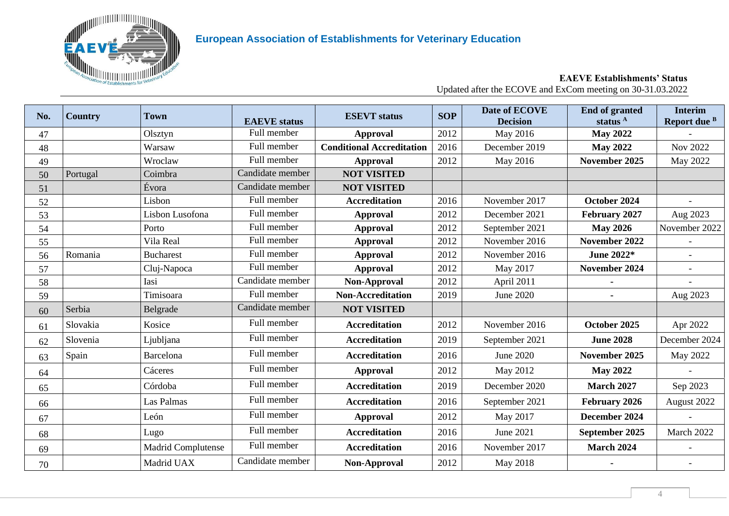

#### **EAEVE Establishments' Status** Updated after the ECOVE and ExCom meeting on 30-31.03.2022

| No. | <b>Country</b> | <b>Town</b>               | <b>EAEVE</b> status | <b>ESEVT</b> status              | <b>SOP</b> | Date of ECOVE<br><b>Decision</b> | <b>End of granted</b><br>status <sup>A</sup> | <b>Interim</b><br>Report due B |
|-----|----------------|---------------------------|---------------------|----------------------------------|------------|----------------------------------|----------------------------------------------|--------------------------------|
| 47  |                | Olsztyn                   | Full member         | <b>Approval</b>                  | 2012       | May 2016                         | <b>May 2022</b>                              |                                |
| 48  |                | Warsaw                    | Full member         | <b>Conditional Accreditation</b> | 2016       | December 2019                    | <b>May 2022</b>                              | <b>Nov 2022</b>                |
| 49  |                | Wroclaw                   | Full member         | <b>Approval</b>                  | 2012       | May 2016                         | November 2025                                | May 2022                       |
| 50  | Portugal       | Coimbra                   | Candidate member    | <b>NOT VISITED</b>               |            |                                  |                                              |                                |
| 51  |                | Évora                     | Candidate member    | <b>NOT VISITED</b>               |            |                                  |                                              |                                |
| 52  |                | Lisbon                    | Full member         | <b>Accreditation</b>             | 2016       | November 2017                    | October 2024                                 |                                |
| 53  |                | Lisbon Lusofona           | Full member         | <b>Approval</b>                  | 2012       | December 2021                    | February 2027                                | Aug 2023                       |
| 54  |                | Porto                     | Full member         | <b>Approval</b>                  | 2012       | September 2021                   | <b>May 2026</b>                              | November 2022                  |
| 55  |                | Vila Real                 | Full member         | <b>Approval</b>                  | 2012       | November 2016                    | November 2022                                |                                |
| 56  | Romania        | <b>Bucharest</b>          | Full member         | <b>Approval</b>                  | 2012       | November 2016                    | June 2022*                                   |                                |
| 57  |                | Cluj-Napoca               | Full member         | <b>Approval</b>                  | 2012       | May 2017                         | November 2024                                |                                |
| 58  |                | Iasi                      | Candidate member    | Non-Approval                     | 2012       | April 2011                       |                                              |                                |
| 59  |                | Timisoara                 | Full member         | <b>Non-Accreditation</b>         | 2019       | <b>June 2020</b>                 |                                              | Aug 2023                       |
| 60  | Serbia         | Belgrade                  | Candidate member    | <b>NOT VISITED</b>               |            |                                  |                                              |                                |
| 61  | Slovakia       | Kosice                    | Full member         | <b>Accreditation</b>             | 2012       | November 2016                    | October 2025                                 | Apr 2022                       |
| 62  | Slovenia       | Ljubljana                 | Full member         | <b>Accreditation</b>             | 2019       | September 2021                   | <b>June 2028</b>                             | December 2024                  |
| 63  | Spain          | Barcelona                 | Full member         | <b>Accreditation</b>             | 2016       | June 2020                        | November 2025                                | May 2022                       |
| 64  |                | Cáceres                   | Full member         | <b>Approval</b>                  | 2012       | May 2012                         | <b>May 2022</b>                              |                                |
| 65  |                | Córdoba                   | Full member         | <b>Accreditation</b>             | 2019       | December 2020                    | <b>March 2027</b>                            | Sep 2023                       |
| 66  |                | Las Palmas                | Full member         | <b>Accreditation</b>             | 2016       | September 2021                   | February 2026                                | August 2022                    |
| 67  |                | León                      | Full member         | <b>Approval</b>                  | 2012       | May 2017                         | December 2024                                |                                |
| 68  |                | Lugo                      | Full member         | <b>Accreditation</b>             | 2016       | June 2021                        | September 2025                               | March 2022                     |
| 69  |                | <b>Madrid Complutense</b> | Full member         | <b>Accreditation</b>             | 2016       | November 2017                    | <b>March 2024</b>                            |                                |
| 70  |                | Madrid UAX                | Candidate member    | Non-Approval                     | 2012       | May 2018                         |                                              |                                |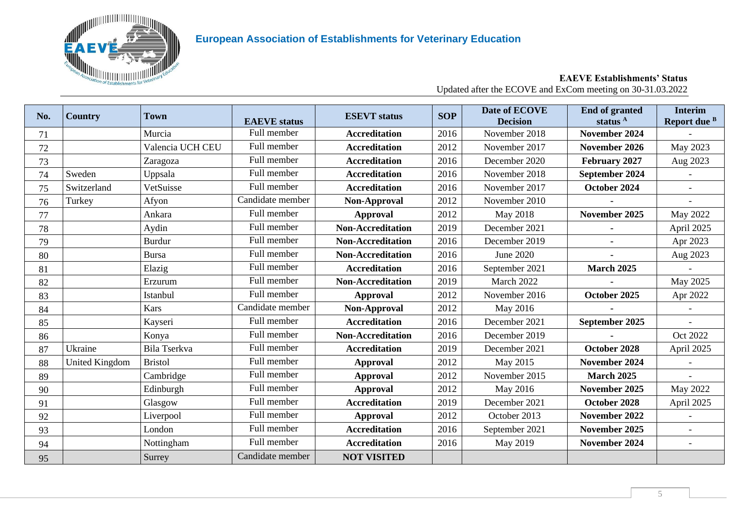

#### **EAEVE Establishments' Status** Updated after the ECOVE and ExCom meeting on 30-31.03.2022

| No. | <b>Country</b>        | <b>Town</b>      | <b>EAEVE</b> status | <b>ESEVT</b> status      | <b>SOP</b> | Date of ECOVE<br><b>Decision</b> | <b>End of granted</b><br>status <sup>A</sup> | <b>Interim</b><br>Report due B |
|-----|-----------------------|------------------|---------------------|--------------------------|------------|----------------------------------|----------------------------------------------|--------------------------------|
| 71  |                       | Murcia           | Full member         | <b>Accreditation</b>     | 2016       | November 2018                    | November 2024                                |                                |
| 72  |                       | Valencia UCH CEU | Full member         | <b>Accreditation</b>     | 2012       | November 2017                    | November 2026                                | May 2023                       |
| 73  |                       | Zaragoza         | Full member         | <b>Accreditation</b>     | 2016       | December 2020                    | February 2027                                | Aug 2023                       |
| 74  | Sweden                | Uppsala          | Full member         | <b>Accreditation</b>     | 2016       | November 2018                    | September 2024                               |                                |
| 75  | Switzerland           | VetSuisse        | Full member         | <b>Accreditation</b>     | 2016       | November 2017                    | October 2024                                 |                                |
| 76  | Turkey                | Afyon            | Candidate member    | Non-Approval             | 2012       | November 2010                    |                                              |                                |
| 77  |                       | Ankara           | Full member         | <b>Approval</b>          | 2012       | May 2018                         | November 2025                                | May 2022                       |
| 78  |                       | Aydin            | Full member         | <b>Non-Accreditation</b> | 2019       | December 2021                    |                                              | April 2025                     |
| 79  |                       | <b>Burdur</b>    | Full member         | <b>Non-Accreditation</b> | 2016       | December 2019                    |                                              | Apr 2023                       |
| 80  |                       | <b>Bursa</b>     | Full member         | <b>Non-Accreditation</b> | 2016       | June 2020                        |                                              | Aug 2023                       |
| 81  |                       | Elazig           | Full member         | <b>Accreditation</b>     | 2016       | September 2021                   | <b>March 2025</b>                            |                                |
| 82  |                       | Erzurum          | Full member         | <b>Non-Accreditation</b> | 2019       | March 2022                       |                                              | May 2025                       |
| 83  |                       | Istanbul         | Full member         | <b>Approval</b>          | 2012       | November 2016                    | October 2025                                 | Apr 2022                       |
| 84  |                       | Kars             | Candidate member    | Non-Approval             | 2012       | May 2016                         |                                              |                                |
| 85  |                       | Kayseri          | Full member         | <b>Accreditation</b>     | 2016       | December 2021                    | September 2025                               | $\sim$                         |
| 86  |                       | Konya            | Full member         | <b>Non-Accreditation</b> | 2016       | December 2019                    |                                              | Oct 2022                       |
| 87  | Ukraine               | Bila Tserkva     | Full member         | <b>Accreditation</b>     | 2019       | December 2021                    | October 2028                                 | April 2025                     |
| 88  | <b>United Kingdom</b> | <b>Bristol</b>   | Full member         | <b>Approval</b>          | 2012       | May 2015                         | November 2024                                |                                |
| 89  |                       | Cambridge        | Full member         | <b>Approval</b>          | 2012       | November 2015                    | <b>March 2025</b>                            | $\overline{a}$                 |
| 90  |                       | Edinburgh        | Full member         | <b>Approval</b>          | 2012       | May 2016                         | November 2025                                | May 2022                       |
| 91  |                       | Glasgow          | Full member         | <b>Accreditation</b>     | 2019       | December 2021                    | October 2028                                 | April 2025                     |
| 92  |                       | Liverpool        | Full member         | <b>Approval</b>          | 2012       | October 2013                     | November 2022                                |                                |
| 93  |                       | London           | Full member         | <b>Accreditation</b>     | 2016       | September 2021                   | November 2025                                | $\overline{a}$                 |
| 94  |                       | Nottingham       | Full member         | <b>Accreditation</b>     | 2016       | May 2019                         | November 2024                                | $\overline{a}$                 |
| 95  |                       | Surrey           | Candidate member    | <b>NOT VISITED</b>       |            |                                  |                                              |                                |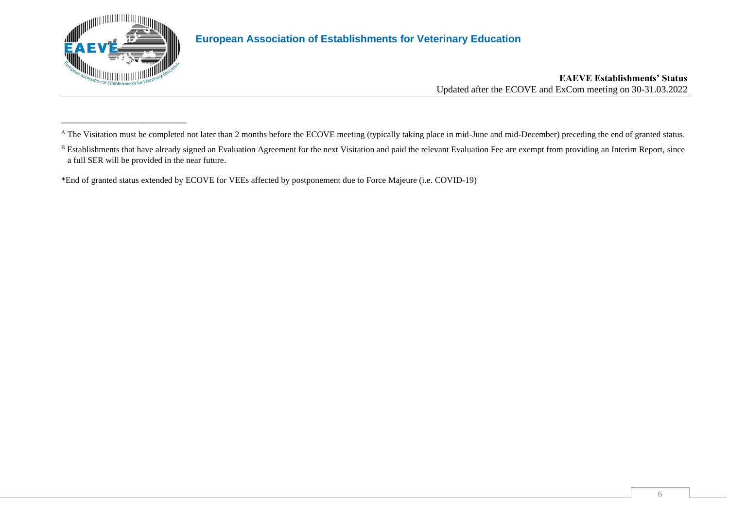

\_\_\_\_\_\_\_\_\_\_\_\_\_\_\_\_\_\_\_\_\_\_\_\_\_\_\_\_\_

## **European Association of Establishments for Veterinary Education**

#### **EAEVE Establishments' Status** Updated after the ECOVE and ExCom meeting on 30-31.03.2022

\*End of granted status extended by ECOVE for VEEs affected by postponement due to Force Majeure (i.e. COVID-19)

<sup>&</sup>lt;sup>A</sup> The Visitation must be completed not later than 2 months before the ECOVE meeting (typically taking place in mid-June and mid-December) preceding the end of granted status.

<sup>&</sup>lt;sup>B</sup> Establishments that have already signed an Evaluation Agreement for the next Visitation and paid the relevant Evaluation Fee are exempt from providing an Interim Report, since a full SER will be provided in the near future.